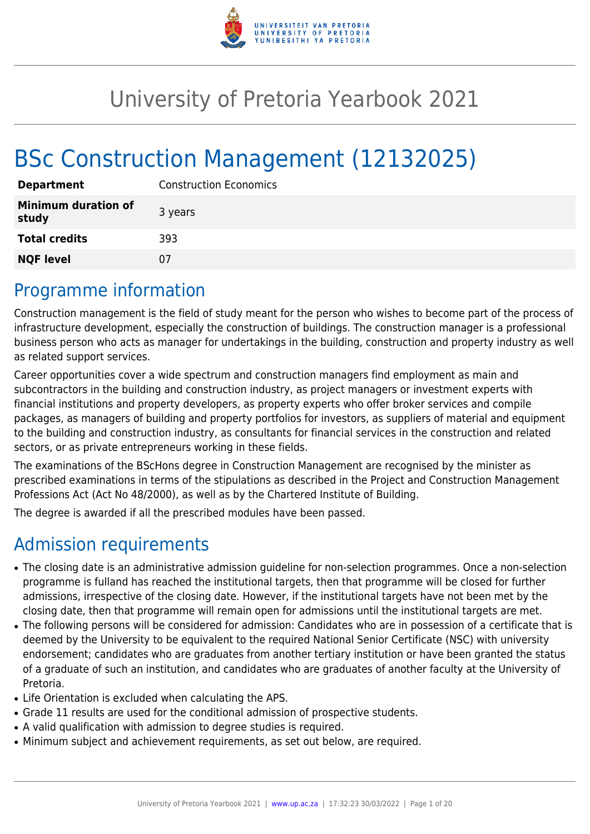

# University of Pretoria Yearbook 2021

# BSc Construction Management (12132025)

| <b>Department</b>                   | <b>Construction Economics</b> |
|-------------------------------------|-------------------------------|
| <b>Minimum duration of</b><br>study | 3 years                       |
| <b>Total credits</b>                | 393                           |
| <b>NQF level</b>                    | 07                            |

## Programme information

Construction management is the field of study meant for the person who wishes to become part of the process of infrastructure development, especially the construction of buildings. The construction manager is a professional business person who acts as manager for undertakings in the building, construction and property industry as well as related support services.

Career opportunities cover a wide spectrum and construction managers find employment as main and subcontractors in the building and construction industry, as project managers or investment experts with financial institutions and property developers, as property experts who offer broker services and compile packages, as managers of building and property portfolios for investors, as suppliers of material and equipment to the building and construction industry, as consultants for financial services in the construction and related sectors, or as private entrepreneurs working in these fields.

The examinations of the BScHons degree in Construction Management are recognised by the minister as prescribed examinations in terms of the stipulations as described in the Project and Construction Management Professions Act (Act No 48/2000), as well as by the Chartered Institute of Building.

The degree is awarded if all the prescribed modules have been passed.

## Admission requirements

- The closing date is an administrative admission guideline for non-selection programmes. Once a non-selection programme is fulland has reached the institutional targets, then that programme will be closed for further admissions, irrespective of the closing date. However, if the institutional targets have not been met by the closing date, then that programme will remain open for admissions until the institutional targets are met.
- The following persons will be considered for admission: Candidates who are in possession of a certificate that is deemed by the University to be equivalent to the required National Senior Certificate (NSC) with university endorsement; candidates who are graduates from another tertiary institution or have been granted the status of a graduate of such an institution, and candidates who are graduates of another faculty at the University of Pretoria.
- Life Orientation is excluded when calculating the APS.
- Grade 11 results are used for the conditional admission of prospective students.
- A valid qualification with admission to degree studies is required.
- Minimum subject and achievement requirements, as set out below, are required.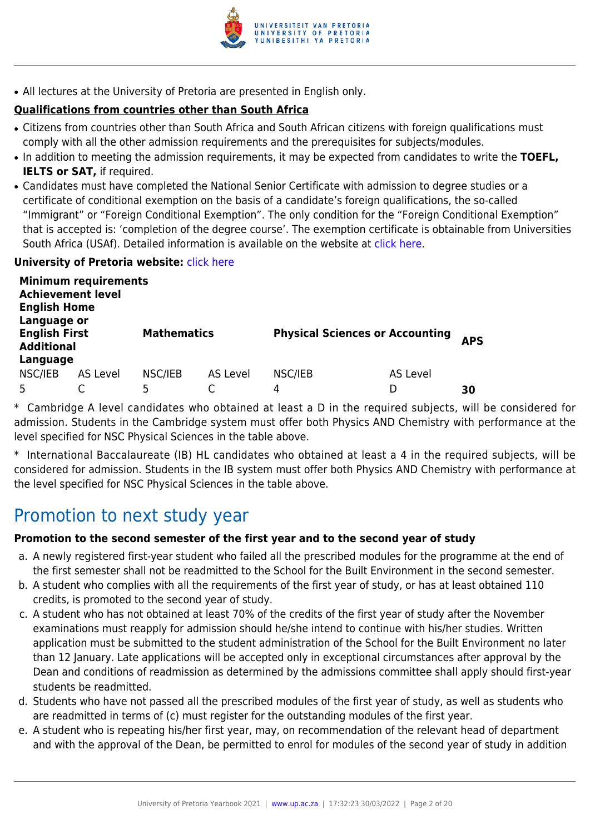

• All lectures at the University of Pretoria are presented in English only.

## **Qualifications from countries other than South Africa**

- Citizens from countries other than South Africa and South African citizens with foreign qualifications must comply with all the other admission requirements and the prerequisites for subjects/modules.
- In addition to meeting the admission requirements, it may be expected from candidates to write the TOEFL, **IELTS or SAT,** if required.
- Candidates must have completed the National Senior Certificate with admission to degree studies or a certificate of conditional exemption on the basis of a candidate's foreign qualifications, the so-called "Immigrant" or "Foreign Conditional Exemption". The only condition for the "Foreign Conditional Exemption" that is accepted is: 'completion of the degree course'. The exemption certificate is obtainable from Universities South Africa (USAf). Detailed information is available on the website at [click here.](http://mb.usaf.ac.za)

#### **University of Pretoria website: [click here](http://www.up.ac.za/ebit)**

| <b>Achievement level</b><br><b>English Home</b><br>Language or | <b>Minimum requirements</b> |                    |          |                                        |          |            |
|----------------------------------------------------------------|-----------------------------|--------------------|----------|----------------------------------------|----------|------------|
| <b>English First</b><br><b>Additional</b>                      |                             | <b>Mathematics</b> |          | <b>Physical Sciences or Accounting</b> |          | <b>APS</b> |
| Language                                                       |                             |                    |          |                                        |          |            |
| NSC/IEB                                                        | AS Level                    | NSC/IEB            | AS Level | NSC/IEB                                | AS Level |            |
|                                                                |                             | 5                  |          | 4                                      |          | 30         |

\* Cambridge A level candidates who obtained at least a D in the required subjects, will be considered for admission. Students in the Cambridge system must offer both Physics AND Chemistry with performance at the level specified for NSC Physical Sciences in the table above.

\* International Baccalaureate (IB) HL candidates who obtained at least a 4 in the required subjects, will be considered for admission. Students in the IB system must offer both Physics AND Chemistry with performance at the level specified for NSC Physical Sciences in the table above.

## Promotion to next study year

## **Promotion to the second semester of the first year and to the second year of study**

- a. A newly registered first-year student who failed all the prescribed modules for the programme at the end of the first semester shall not be readmitted to the School for the Built Environment in the second semester.
- b. A student who complies with all the requirements of the first year of study, or has at least obtained 110 credits, is promoted to the second year of study.
- c. A student who has not obtained at least 70% of the credits of the first year of study after the November examinations must reapply for admission should he/she intend to continue with his/her studies. Written application must be submitted to the student administration of the School for the Built Environment no later than 12 January. Late applications will be accepted only in exceptional circumstances after approval by the Dean and conditions of readmission as determined by the admissions committee shall apply should first-year students be readmitted.
- d. Students who have not passed all the prescribed modules of the first year of study, as well as students who are readmitted in terms of (c) must register for the outstanding modules of the first year.
- e. A student who is repeating his/her first year, may, on recommendation of the relevant head of department and with the approval of the Dean, be permitted to enrol for modules of the second year of study in addition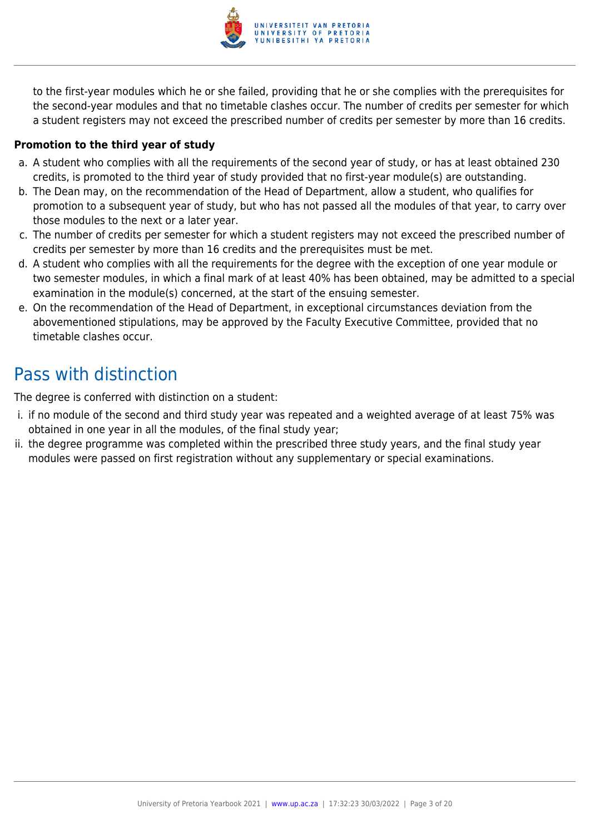

to the first-year modules which he or she failed, providing that he or she complies with the prerequisites for the second-year modules and that no timetable clashes occur. The number of credits per semester for which a student registers may not exceed the prescribed number of credits per semester by more than 16 credits.

### **Promotion to the third year of study**

- a. A student who complies with all the requirements of the second year of study, or has at least obtained 230 credits, is promoted to the third year of study provided that no first-year module(s) are outstanding.
- b. The Dean may, on the recommendation of the Head of Department, allow a student, who qualifies for promotion to a subsequent year of study, but who has not passed all the modules of that year, to carry over those modules to the next or a later year.
- c. The number of credits per semester for which a student registers may not exceed the prescribed number of credits per semester by more than 16 credits and the prerequisites must be met.
- d. A student who complies with all the requirements for the degree with the exception of one year module or two semester modules, in which a final mark of at least 40% has been obtained, may be admitted to a special examination in the module(s) concerned, at the start of the ensuing semester.
- e. On the recommendation of the Head of Department, in exceptional circumstances deviation from the abovementioned stipulations, may be approved by the Faculty Executive Committee, provided that no timetable clashes occur.

## Pass with distinction

The degree is conferred with distinction on a student:

- i. if no module of the second and third study year was repeated and a weighted average of at least 75% was obtained in one year in all the modules, of the final study year;
- ii. the degree programme was completed within the prescribed three study years, and the final study year modules were passed on first registration without any supplementary or special examinations.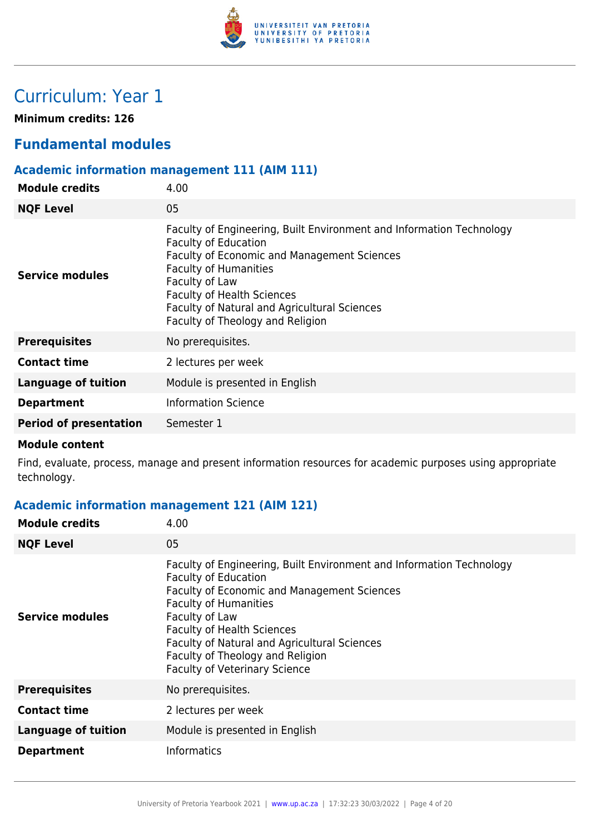

## Curriculum: Year 1

**Minimum credits: 126**

## **Fundamental modules**

## **Academic information management 111 (AIM 111)**

| <b>Module credits</b>         | 4.00                                                                                                                                                                                                                                                                                                                          |
|-------------------------------|-------------------------------------------------------------------------------------------------------------------------------------------------------------------------------------------------------------------------------------------------------------------------------------------------------------------------------|
| <b>NQF Level</b>              | 05                                                                                                                                                                                                                                                                                                                            |
| Service modules               | Faculty of Engineering, Built Environment and Information Technology<br><b>Faculty of Education</b><br>Faculty of Economic and Management Sciences<br><b>Faculty of Humanities</b><br>Faculty of Law<br><b>Faculty of Health Sciences</b><br>Faculty of Natural and Agricultural Sciences<br>Faculty of Theology and Religion |
| <b>Prerequisites</b>          | No prerequisites.                                                                                                                                                                                                                                                                                                             |
| <b>Contact time</b>           | 2 lectures per week                                                                                                                                                                                                                                                                                                           |
| <b>Language of tuition</b>    | Module is presented in English                                                                                                                                                                                                                                                                                                |
| <b>Department</b>             | <b>Information Science</b>                                                                                                                                                                                                                                                                                                    |
| <b>Period of presentation</b> | Semester 1                                                                                                                                                                                                                                                                                                                    |
|                               |                                                                                                                                                                                                                                                                                                                               |

#### **Module content**

Find, evaluate, process, manage and present information resources for academic purposes using appropriate technology.

## **Academic information management 121 (AIM 121)**

| <b>Module credits</b>      | 4.00                                                                                                                                                                                                                                                                                                                                                                  |
|----------------------------|-----------------------------------------------------------------------------------------------------------------------------------------------------------------------------------------------------------------------------------------------------------------------------------------------------------------------------------------------------------------------|
| <b>NQF Level</b>           | 05                                                                                                                                                                                                                                                                                                                                                                    |
| Service modules            | Faculty of Engineering, Built Environment and Information Technology<br><b>Faculty of Education</b><br>Faculty of Economic and Management Sciences<br><b>Faculty of Humanities</b><br>Faculty of Law<br><b>Faculty of Health Sciences</b><br>Faculty of Natural and Agricultural Sciences<br>Faculty of Theology and Religion<br><b>Faculty of Veterinary Science</b> |
| <b>Prerequisites</b>       | No prerequisites.                                                                                                                                                                                                                                                                                                                                                     |
| <b>Contact time</b>        | 2 lectures per week                                                                                                                                                                                                                                                                                                                                                   |
| <b>Language of tuition</b> | Module is presented in English                                                                                                                                                                                                                                                                                                                                        |
| <b>Department</b>          | <b>Informatics</b>                                                                                                                                                                                                                                                                                                                                                    |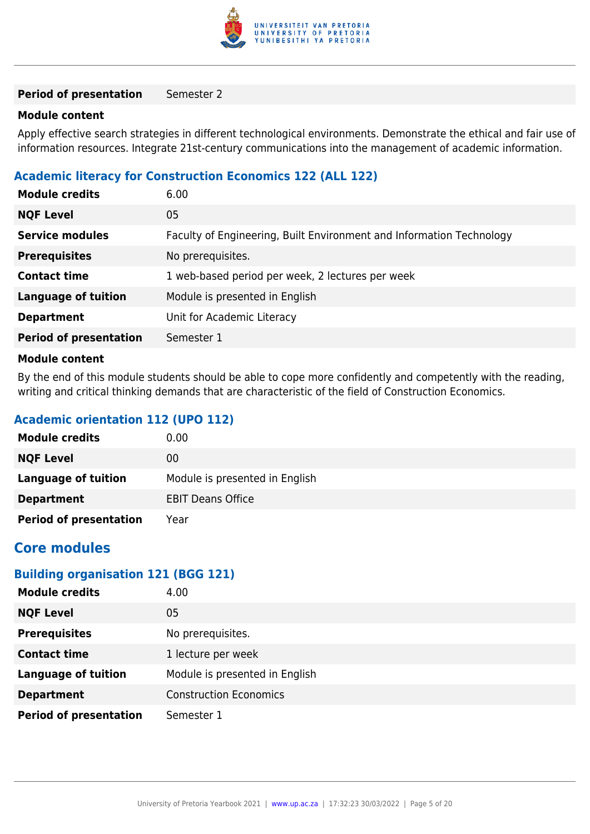

#### **Module content**

Apply effective search strategies in different technological environments. Demonstrate the ethical and fair use of information resources. Integrate 21st-century communications into the management of academic information.

#### **Academic literacy for Construction Economics 122 (ALL 122)**

| <b>Module credits</b>         | 6.00                                                                 |
|-------------------------------|----------------------------------------------------------------------|
| <b>NQF Level</b>              | 05                                                                   |
| <b>Service modules</b>        | Faculty of Engineering, Built Environment and Information Technology |
| <b>Prerequisites</b>          | No prerequisites.                                                    |
| <b>Contact time</b>           | 1 web-based period per week, 2 lectures per week                     |
| Language of tuition           | Module is presented in English                                       |
| <b>Department</b>             | Unit for Academic Literacy                                           |
| <b>Period of presentation</b> | Semester 1                                                           |
| Madula aantant                |                                                                      |

#### **Module content**

By the end of this module students should be able to cope more confidently and competently with the reading, writing and critical thinking demands that are characteristic of the field of Construction Economics.

#### **Academic orientation 112 (UPO 112)**

| <b>Module credits</b>         | 0.00                           |
|-------------------------------|--------------------------------|
| <b>NQF Level</b>              | 00                             |
| Language of tuition           | Module is presented in English |
| <b>Department</b>             | <b>EBIT Deans Office</b>       |
| <b>Period of presentation</b> | Year                           |

## **Core modules**

#### **Building organisation 121 (BGG 121)**

| <b>Module credits</b>         | 4.00                           |
|-------------------------------|--------------------------------|
| <b>NQF Level</b>              | 05                             |
| <b>Prerequisites</b>          | No prerequisites.              |
| <b>Contact time</b>           | 1 lecture per week             |
| <b>Language of tuition</b>    | Module is presented in English |
| <b>Department</b>             | <b>Construction Economics</b>  |
| <b>Period of presentation</b> | Semester 1                     |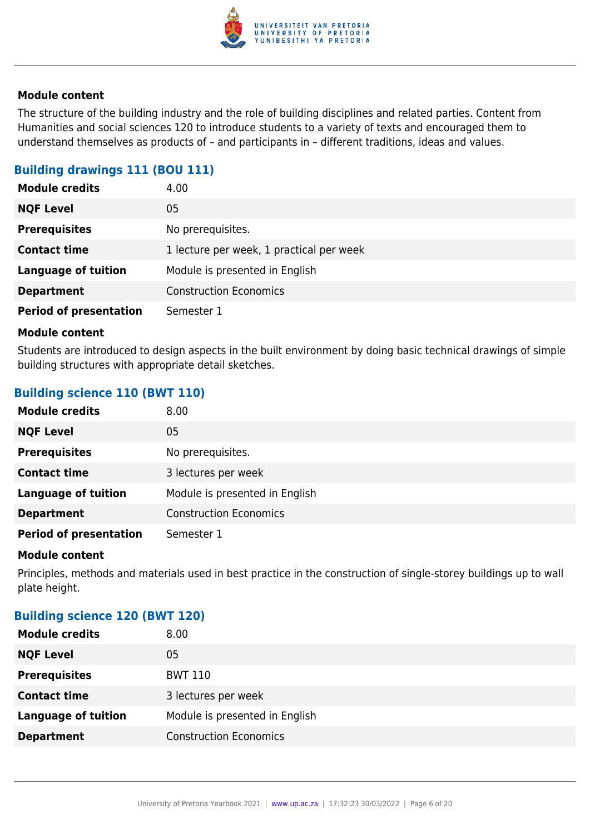

The structure of the building industry and the role of building disciplines and related parties. Content from Humanities and social sciences 120 to introduce students to a variety of texts and encouraged them to understand themselves as products of – and participants in – different traditions, ideas and values.

## **Building drawings 111 (BOU 111)**

| <b>Module credits</b>         | 4.00                                     |
|-------------------------------|------------------------------------------|
| <b>NQF Level</b>              | 05                                       |
| <b>Prerequisites</b>          | No prerequisites.                        |
| <b>Contact time</b>           | 1 lecture per week, 1 practical per week |
| <b>Language of tuition</b>    | Module is presented in English           |
| <b>Department</b>             | <b>Construction Economics</b>            |
| <b>Period of presentation</b> | Semester 1                               |

#### **Module content**

Students are introduced to design aspects in the built environment by doing basic technical drawings of simple building structures with appropriate detail sketches.

#### **Building science 110 (BWT 110)**

| <b>Module credits</b>         | 8.00                           |
|-------------------------------|--------------------------------|
| <b>NQF Level</b>              | 05                             |
| <b>Prerequisites</b>          | No prerequisites.              |
| <b>Contact time</b>           | 3 lectures per week            |
| <b>Language of tuition</b>    | Module is presented in English |
| <b>Department</b>             | <b>Construction Economics</b>  |
| <b>Period of presentation</b> | Semester 1                     |

#### **Module content**

Principles, methods and materials used in best practice in the construction of single-storey buildings up to wall plate height.

### **Building science 120 (BWT 120)**

| <b>Module credits</b>      | 8.00                           |
|----------------------------|--------------------------------|
| <b>NQF Level</b>           | 05                             |
| <b>Prerequisites</b>       | <b>BWT 110</b>                 |
| <b>Contact time</b>        | 3 lectures per week            |
| <b>Language of tuition</b> | Module is presented in English |
| <b>Department</b>          | <b>Construction Economics</b>  |
|                            |                                |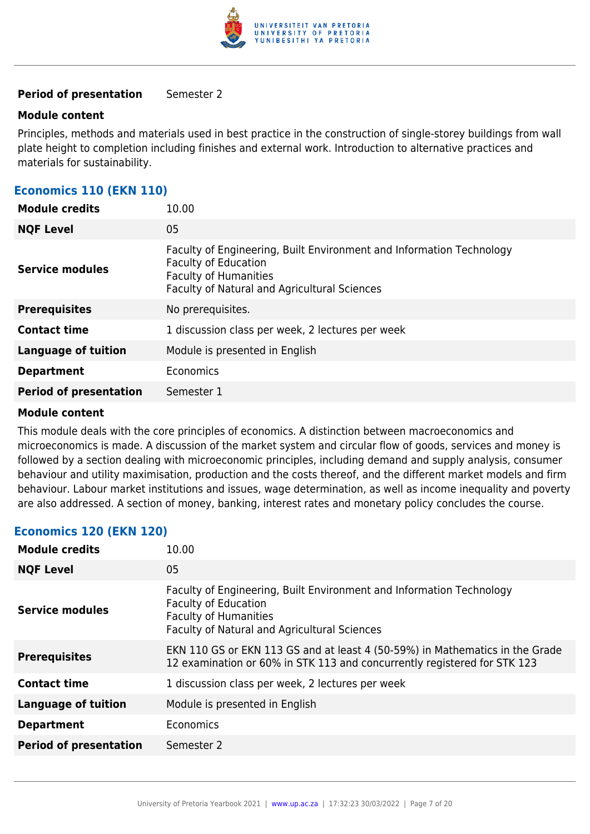

#### **Module content**

Principles, methods and materials used in best practice in the construction of single-storey buildings from wall plate height to completion including finishes and external work. Introduction to alternative practices and materials for sustainability.

| <b>Economics 110 (EKN 110)</b> |  |  |  |
|--------------------------------|--|--|--|
|--------------------------------|--|--|--|

| <b>Module credits</b>         | 10.00                                                                                                                                                                               |
|-------------------------------|-------------------------------------------------------------------------------------------------------------------------------------------------------------------------------------|
| <b>NQF Level</b>              | 05                                                                                                                                                                                  |
| <b>Service modules</b>        | Faculty of Engineering, Built Environment and Information Technology<br><b>Faculty of Education</b><br><b>Faculty of Humanities</b><br>Faculty of Natural and Agricultural Sciences |
| <b>Prerequisites</b>          | No prerequisites.                                                                                                                                                                   |
| <b>Contact time</b>           | 1 discussion class per week, 2 lectures per week                                                                                                                                    |
| <b>Language of tuition</b>    | Module is presented in English                                                                                                                                                      |
| <b>Department</b>             | Economics                                                                                                                                                                           |
| <b>Period of presentation</b> | Semester 1                                                                                                                                                                          |

#### **Module content**

This module deals with the core principles of economics. A distinction between macroeconomics and microeconomics is made. A discussion of the market system and circular flow of goods, services and money is followed by a section dealing with microeconomic principles, including demand and supply analysis, consumer behaviour and utility maximisation, production and the costs thereof, and the different market models and firm behaviour. Labour market institutions and issues, wage determination, as well as income inequality and poverty are also addressed. A section of money, banking, interest rates and monetary policy concludes the course.

#### **Economics 120 (EKN 120)**

| <b>Module credits</b>         | 10.00                                                                                                                                                                               |
|-------------------------------|-------------------------------------------------------------------------------------------------------------------------------------------------------------------------------------|
| <b>NQF Level</b>              | 05                                                                                                                                                                                  |
| Service modules               | Faculty of Engineering, Built Environment and Information Technology<br><b>Faculty of Education</b><br><b>Faculty of Humanities</b><br>Faculty of Natural and Agricultural Sciences |
| <b>Prerequisites</b>          | EKN 110 GS or EKN 113 GS and at least 4 (50-59%) in Mathematics in the Grade<br>12 examination or 60% in STK 113 and concurrently registered for STK 123                            |
| <b>Contact time</b>           | 1 discussion class per week, 2 lectures per week                                                                                                                                    |
| <b>Language of tuition</b>    | Module is presented in English                                                                                                                                                      |
| <b>Department</b>             | Economics                                                                                                                                                                           |
| <b>Period of presentation</b> | Semester 2                                                                                                                                                                          |
|                               |                                                                                                                                                                                     |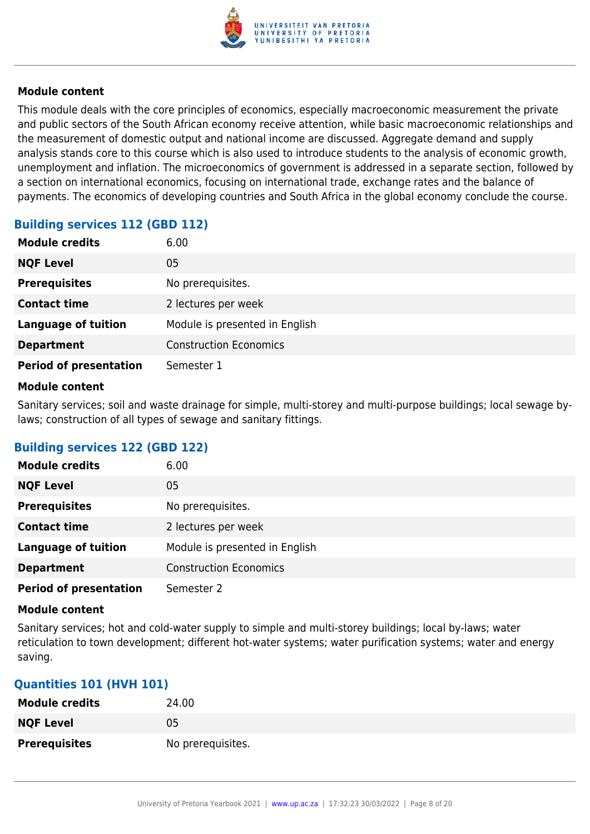

This module deals with the core principles of economics, especially macroeconomic measurement the private and public sectors of the South African economy receive attention, while basic macroeconomic relationships and the measurement of domestic output and national income are discussed. Aggregate demand and supply analysis stands core to this course which is also used to introduce students to the analysis of economic growth, unemployment and inflation. The microeconomics of government is addressed in a separate section, followed by a section on international economics, focusing on international trade, exchange rates and the balance of payments. The economics of developing countries and South Africa in the global economy conclude the course.

## **Building services 112 (GBD 112)**

| <b>Module credits</b>         | 6.00                           |
|-------------------------------|--------------------------------|
| <b>NQF Level</b>              | 05                             |
| <b>Prerequisites</b>          | No prerequisites.              |
| <b>Contact time</b>           | 2 lectures per week            |
| <b>Language of tuition</b>    | Module is presented in English |
| <b>Department</b>             | <b>Construction Economics</b>  |
| <b>Period of presentation</b> | Semester 1                     |

#### **Module content**

Sanitary services; soil and waste drainage for simple, multi-storey and multi-purpose buildings; local sewage bylaws; construction of all types of sewage and sanitary fittings.

## **Building services 122 (GBD 122)**

| <b>Module credits</b>         | 6.00                           |
|-------------------------------|--------------------------------|
| <b>NQF Level</b>              | 05                             |
| <b>Prerequisites</b>          | No prerequisites.              |
| <b>Contact time</b>           | 2 lectures per week            |
| <b>Language of tuition</b>    | Module is presented in English |
| <b>Department</b>             | <b>Construction Economics</b>  |
| <b>Period of presentation</b> | Semester 2                     |

#### **Module content**

Sanitary services; hot and cold-water supply to simple and multi-storey buildings; local by-laws; water reticulation to town development; different hot-water systems; water purification systems; water and energy saving.

#### **Quantities 101 (HVH 101)**

| <b>Module credits</b> | 24.00             |
|-----------------------|-------------------|
| <b>NQF Level</b>      | 05                |
| <b>Prerequisites</b>  | No prerequisites. |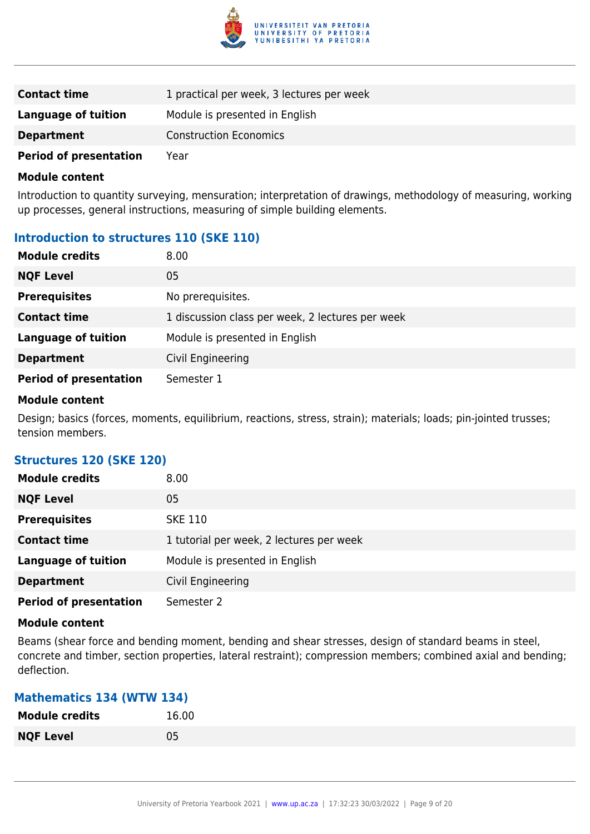

| <b>Contact time</b>           | 1 practical per week, 3 lectures per week |
|-------------------------------|-------------------------------------------|
| Language of tuition           | Module is presented in English            |
| <b>Department</b>             | <b>Construction Economics</b>             |
| <b>Period of presentation</b> | Year                                      |

Introduction to quantity surveying, mensuration; interpretation of drawings, methodology of measuring, working up processes, general instructions, measuring of simple building elements.

## **Introduction to structures 110 (SKE 110)**

| <b>Module credits</b>         | 8.00                                             |
|-------------------------------|--------------------------------------------------|
| <b>NQF Level</b>              | 05                                               |
| <b>Prerequisites</b>          | No prerequisites.                                |
| <b>Contact time</b>           | 1 discussion class per week, 2 lectures per week |
| <b>Language of tuition</b>    | Module is presented in English                   |
| <b>Department</b>             | Civil Engineering                                |
| <b>Period of presentation</b> | Semester 1                                       |

#### **Module content**

Design; basics (forces, moments, equilibrium, reactions, stress, strain); materials; loads; pin-jointed trusses; tension members.

#### **Structures 120 (SKE 120)**

| <b>Module credits</b>         | 8.00                                     |
|-------------------------------|------------------------------------------|
| <b>NQF Level</b>              | 05                                       |
| <b>Prerequisites</b>          | <b>SKE 110</b>                           |
| <b>Contact time</b>           | 1 tutorial per week, 2 lectures per week |
| <b>Language of tuition</b>    | Module is presented in English           |
| <b>Department</b>             | Civil Engineering                        |
| <b>Period of presentation</b> | Semester 2                               |

#### **Module content**

Beams (shear force and bending moment, bending and shear stresses, design of standard beams in steel, concrete and timber, section properties, lateral restraint); compression members; combined axial and bending; deflection.

#### **Mathematics 134 (WTW 134)**

| <b>Module credits</b> | 16.00 |
|-----------------------|-------|
| <b>NQF Level</b>      | 05    |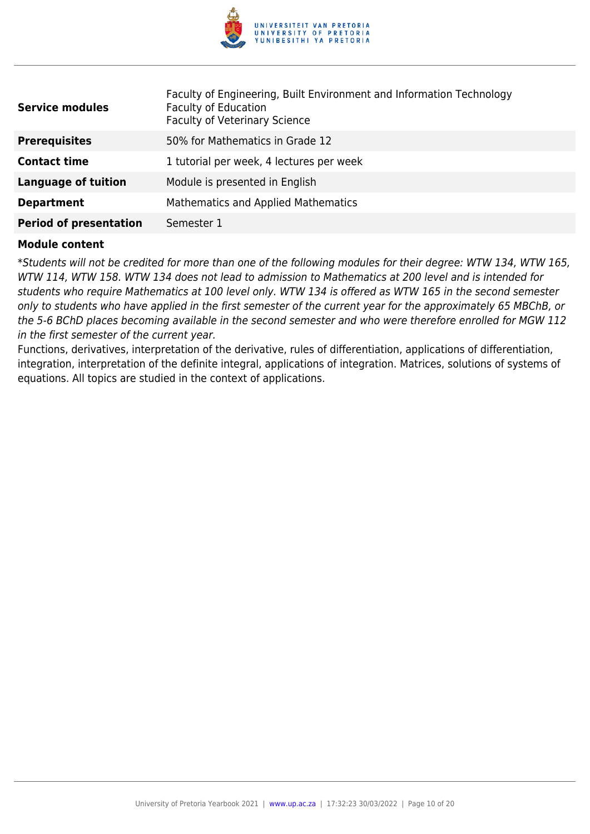

| <b>Service modules</b>        | Faculty of Engineering, Built Environment and Information Technology<br><b>Faculty of Education</b><br><b>Faculty of Veterinary Science</b> |
|-------------------------------|---------------------------------------------------------------------------------------------------------------------------------------------|
| <b>Prerequisites</b>          | 50% for Mathematics in Grade 12                                                                                                             |
| <b>Contact time</b>           | 1 tutorial per week, 4 lectures per week                                                                                                    |
| Language of tuition           | Module is presented in English                                                                                                              |
| <b>Department</b>             | <b>Mathematics and Applied Mathematics</b>                                                                                                  |
| <b>Period of presentation</b> | Semester 1                                                                                                                                  |

\*Students will not be credited for more than one of the following modules for their degree: WTW 134, WTW 165, WTW 114, WTW 158. WTW 134 does not lead to admission to Mathematics at 200 level and is intended for students who require Mathematics at 100 level only. WTW 134 is offered as WTW 165 in the second semester only to students who have applied in the first semester of the current year for the approximately 65 MBChB, or the 5-6 BChD places becoming available in the second semester and who were therefore enrolled for MGW 112 in the first semester of the current year.

Functions, derivatives, interpretation of the derivative, rules of differentiation, applications of differentiation, integration, interpretation of the definite integral, applications of integration. Matrices, solutions of systems of equations. All topics are studied in the context of applications.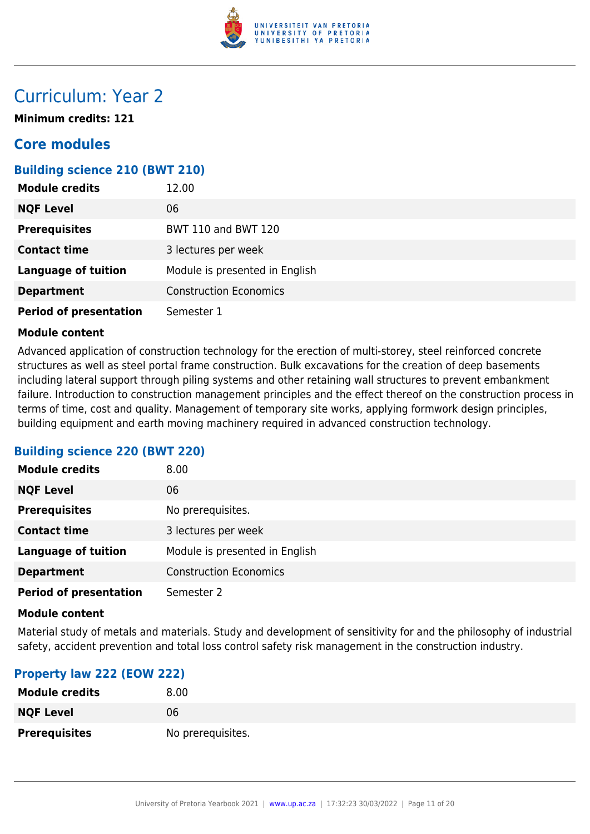

## Curriculum: Year 2

**Minimum credits: 121**

## **Core modules**

## **Building science 210 (BWT 210)**

| <b>Module credits</b>         | 12.00                          |
|-------------------------------|--------------------------------|
| <b>NQF Level</b>              | 06                             |
| <b>Prerequisites</b>          | <b>BWT 110 and BWT 120</b>     |
| <b>Contact time</b>           | 3 lectures per week            |
| <b>Language of tuition</b>    | Module is presented in English |
| <b>Department</b>             | <b>Construction Economics</b>  |
| <b>Period of presentation</b> | Semester 1                     |

#### **Module content**

Advanced application of construction technology for the erection of multi-storey, steel reinforced concrete structures as well as steel portal frame construction. Bulk excavations for the creation of deep basements including lateral support through piling systems and other retaining wall structures to prevent embankment failure. Introduction to construction management principles and the effect thereof on the construction process in terms of time, cost and quality. Management of temporary site works, applying formwork design principles, building equipment and earth moving machinery required in advanced construction technology.

#### **Building science 220 (BWT 220)**

| <b>Module credits</b>         | 8.00                           |
|-------------------------------|--------------------------------|
| <b>NQF Level</b>              | 06                             |
| <b>Prerequisites</b>          | No prerequisites.              |
| <b>Contact time</b>           | 3 lectures per week            |
| <b>Language of tuition</b>    | Module is presented in English |
| <b>Department</b>             | <b>Construction Economics</b>  |
| <b>Period of presentation</b> | Semester 2                     |

#### **Module content**

Material study of metals and materials. Study and development of sensitivity for and the philosophy of industrial safety, accident prevention and total loss control safety risk management in the construction industry.

#### **Property law 222 (EOW 222)**

| <b>Module credits</b> | 8.00              |
|-----------------------|-------------------|
| <b>NQF Level</b>      | 06                |
| <b>Prerequisites</b>  | No prerequisites. |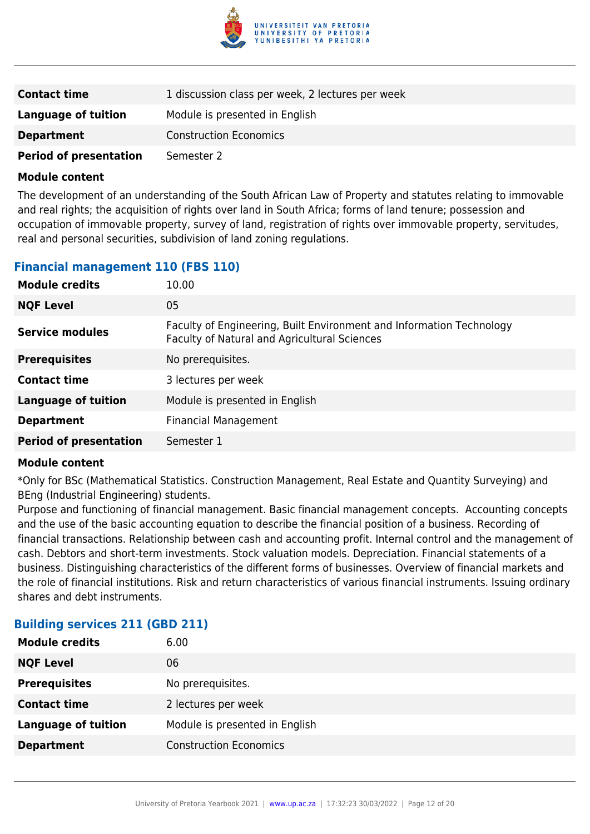

| <b>Contact time</b>           | 1 discussion class per week, 2 lectures per week |
|-------------------------------|--------------------------------------------------|
| Language of tuition           | Module is presented in English                   |
| <b>Department</b>             | <b>Construction Economics</b>                    |
| <b>Period of presentation</b> | Semester 2                                       |

The development of an understanding of the South African Law of Property and statutes relating to immovable and real rights; the acquisition of rights over land in South Africa; forms of land tenure; possession and occupation of immovable property, survey of land, registration of rights over immovable property, servitudes, real and personal securities, subdivision of land zoning regulations.

## **Financial management 110 (FBS 110)**

| <b>Module credits</b>         | 10.00                                                                                                                |
|-------------------------------|----------------------------------------------------------------------------------------------------------------------|
| <b>NQF Level</b>              | 05                                                                                                                   |
| <b>Service modules</b>        | Faculty of Engineering, Built Environment and Information Technology<br>Faculty of Natural and Agricultural Sciences |
| <b>Prerequisites</b>          | No prerequisites.                                                                                                    |
| <b>Contact time</b>           | 3 lectures per week                                                                                                  |
| <b>Language of tuition</b>    | Module is presented in English                                                                                       |
| <b>Department</b>             | <b>Financial Management</b>                                                                                          |
| <b>Period of presentation</b> | Semester 1                                                                                                           |

#### **Module content**

\*Only for BSc (Mathematical Statistics. Construction Management, Real Estate and Quantity Surveying) and BEng (Industrial Engineering) students.

Purpose and functioning of financial management. Basic financial management concepts. Accounting concepts and the use of the basic accounting equation to describe the financial position of a business. Recording of financial transactions. Relationship between cash and accounting profit. Internal control and the management of cash. Debtors and short-term investments. Stock valuation models. Depreciation. Financial statements of a business. Distinguishing characteristics of the different forms of businesses. Overview of financial markets and the role of financial institutions. Risk and return characteristics of various financial instruments. Issuing ordinary shares and debt instruments.

## **Building services 211 (GBD 211)**

| <b>Module credits</b>      | 6.00                           |
|----------------------------|--------------------------------|
| <b>NQF Level</b>           | 06                             |
| <b>Prerequisites</b>       | No prerequisites.              |
| <b>Contact time</b>        | 2 lectures per week            |
| <b>Language of tuition</b> | Module is presented in English |
| <b>Department</b>          | <b>Construction Economics</b>  |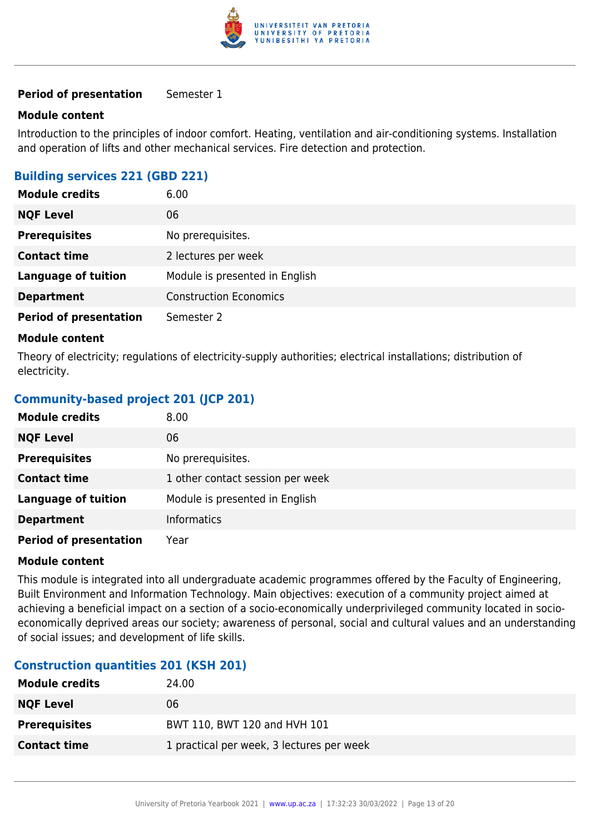

#### **Module content**

Introduction to the principles of indoor comfort. Heating, ventilation and air-conditioning systems. Installation and operation of lifts and other mechanical services. Fire detection and protection.

## **Building services 221 (GBD 221)**

| <b>Module credits</b>         | 6.00                           |
|-------------------------------|--------------------------------|
| <b>NQF Level</b>              | 06                             |
| <b>Prerequisites</b>          | No prerequisites.              |
| <b>Contact time</b>           | 2 lectures per week            |
| <b>Language of tuition</b>    | Module is presented in English |
| <b>Department</b>             | <b>Construction Economics</b>  |
| <b>Period of presentation</b> | Semester 2                     |

#### **Module content**

Theory of electricity; regulations of electricity-supply authorities; electrical installations; distribution of electricity.

## **Community-based project 201 (JCP 201)**

| <b>Module credits</b>         | 8.00                             |
|-------------------------------|----------------------------------|
| <b>NQF Level</b>              | 06                               |
| <b>Prerequisites</b>          | No prerequisites.                |
| <b>Contact time</b>           | 1 other contact session per week |
| <b>Language of tuition</b>    | Module is presented in English   |
| <b>Department</b>             | Informatics                      |
| <b>Period of presentation</b> | Year                             |

#### **Module content**

This module is integrated into all undergraduate academic programmes offered by the Faculty of Engineering, Built Environment and Information Technology. Main objectives: execution of a community project aimed at achieving a beneficial impact on a section of a socio-economically underprivileged community located in socioeconomically deprived areas our society; awareness of personal, social and cultural values and an understanding of social issues; and development of life skills.

#### **Construction quantities 201 (KSH 201)**

| <b>Module credits</b> | 24.00                                     |
|-----------------------|-------------------------------------------|
| <b>NQF Level</b>      | 06                                        |
| <b>Prerequisites</b>  | BWT 110, BWT 120 and HVH 101              |
| <b>Contact time</b>   | 1 practical per week, 3 lectures per week |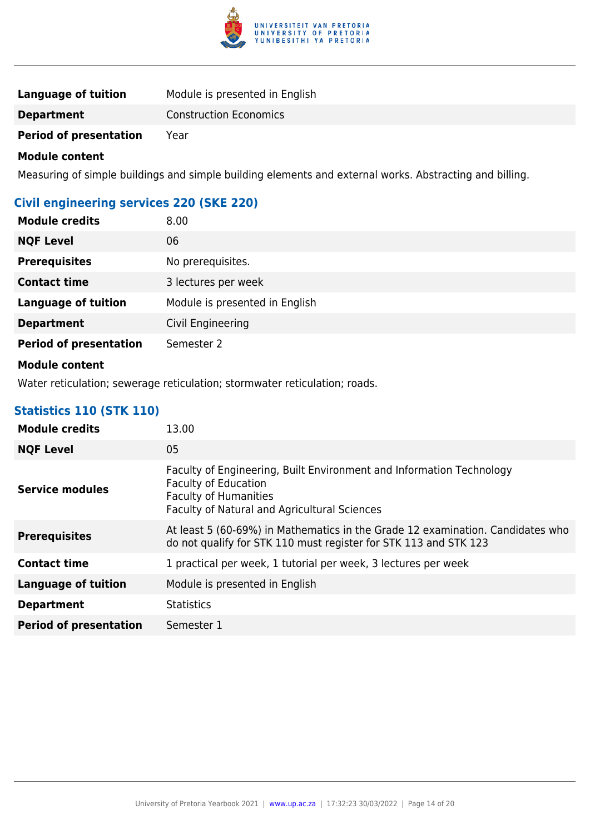

| Language of tuition           | Module is presented in English |
|-------------------------------|--------------------------------|
| <b>Department</b>             | <b>Construction Economics</b>  |
| <b>Period of presentation</b> | Year                           |

Measuring of simple buildings and simple building elements and external works. Abstracting and billing.

## **Civil engineering services 220 (SKE 220)**

| <b>Module credits</b>         | 8.00                           |
|-------------------------------|--------------------------------|
| <b>NQF Level</b>              | 06                             |
| <b>Prerequisites</b>          | No prerequisites.              |
| <b>Contact time</b>           | 3 lectures per week            |
| <b>Language of tuition</b>    | Module is presented in English |
| <b>Department</b>             | Civil Engineering              |
| <b>Period of presentation</b> | Semester 2                     |

#### **Module content**

Water reticulation; sewerage reticulation; stormwater reticulation; roads.

## **Statistics 110 (STK 110)**

| <b>Module credits</b>         | 13.00                                                                                                                                                                                      |
|-------------------------------|--------------------------------------------------------------------------------------------------------------------------------------------------------------------------------------------|
| <b>NQF Level</b>              | 05                                                                                                                                                                                         |
| <b>Service modules</b>        | Faculty of Engineering, Built Environment and Information Technology<br><b>Faculty of Education</b><br><b>Faculty of Humanities</b><br><b>Faculty of Natural and Agricultural Sciences</b> |
| <b>Prerequisites</b>          | At least 5 (60-69%) in Mathematics in the Grade 12 examination. Candidates who<br>do not qualify for STK 110 must register for STK 113 and STK 123                                         |
| <b>Contact time</b>           | 1 practical per week, 1 tutorial per week, 3 lectures per week                                                                                                                             |
| <b>Language of tuition</b>    | Module is presented in English                                                                                                                                                             |
| <b>Department</b>             | <b>Statistics</b>                                                                                                                                                                          |
| <b>Period of presentation</b> | Semester 1                                                                                                                                                                                 |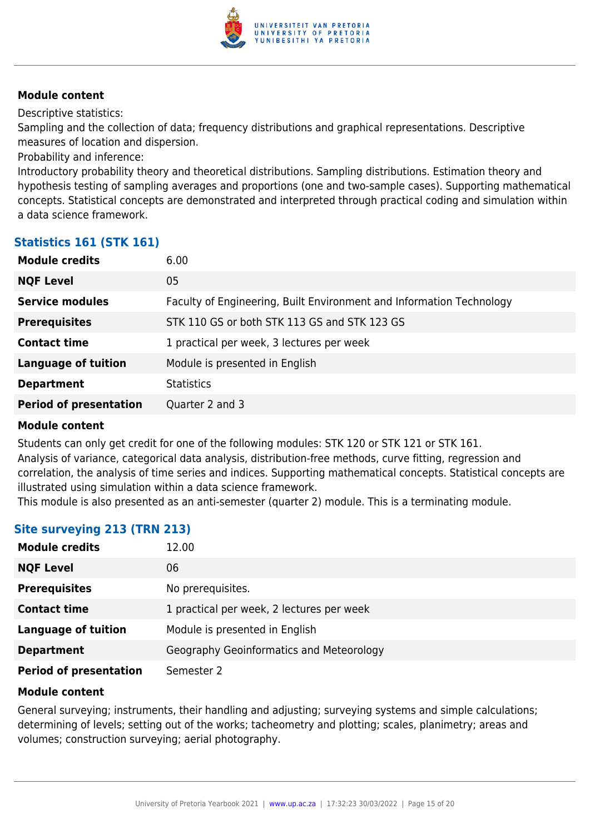

Descriptive statistics:

Sampling and the collection of data; frequency distributions and graphical representations. Descriptive measures of location and dispersion.

Probability and inference:

Introductory probability theory and theoretical distributions. Sampling distributions. Estimation theory and hypothesis testing of sampling averages and proportions (one and two-sample cases). Supporting mathematical concepts. Statistical concepts are demonstrated and interpreted through practical coding and simulation within a data science framework.

#### **Statistics 161 (STK 161)**

| <b>Module credits</b>         | 6.00                                                                 |
|-------------------------------|----------------------------------------------------------------------|
| <b>NQF Level</b>              | 05                                                                   |
| <b>Service modules</b>        | Faculty of Engineering, Built Environment and Information Technology |
| <b>Prerequisites</b>          | STK 110 GS or both STK 113 GS and STK 123 GS                         |
| <b>Contact time</b>           | 1 practical per week, 3 lectures per week                            |
| <b>Language of tuition</b>    | Module is presented in English                                       |
| <b>Department</b>             | <b>Statistics</b>                                                    |
| <b>Period of presentation</b> | Quarter 2 and 3                                                      |
|                               |                                                                      |

#### **Module content**

Students can only get credit for one of the following modules: STK 120 or STK 121 or STK 161. Analysis of variance, categorical data analysis, distribution-free methods, curve fitting, regression and correlation, the analysis of time series and indices. Supporting mathematical concepts. Statistical concepts are illustrated using simulation within a data science framework.

This module is also presented as an anti-semester (quarter 2) module. This is a terminating module.

## **Site surveying 213 (TRN 213)**

| <b>Module credits</b>         | 12.00                                     |
|-------------------------------|-------------------------------------------|
| <b>NQF Level</b>              | 06                                        |
| <b>Prerequisites</b>          | No prerequisites.                         |
| <b>Contact time</b>           | 1 practical per week, 2 lectures per week |
| <b>Language of tuition</b>    | Module is presented in English            |
| <b>Department</b>             | Geography Geoinformatics and Meteorology  |
| <b>Period of presentation</b> | Semester 2                                |

#### **Module content**

General surveying; instruments, their handling and adjusting; surveying systems and simple calculations; determining of levels; setting out of the works; tacheometry and plotting; scales, planimetry; areas and volumes; construction surveying; aerial photography.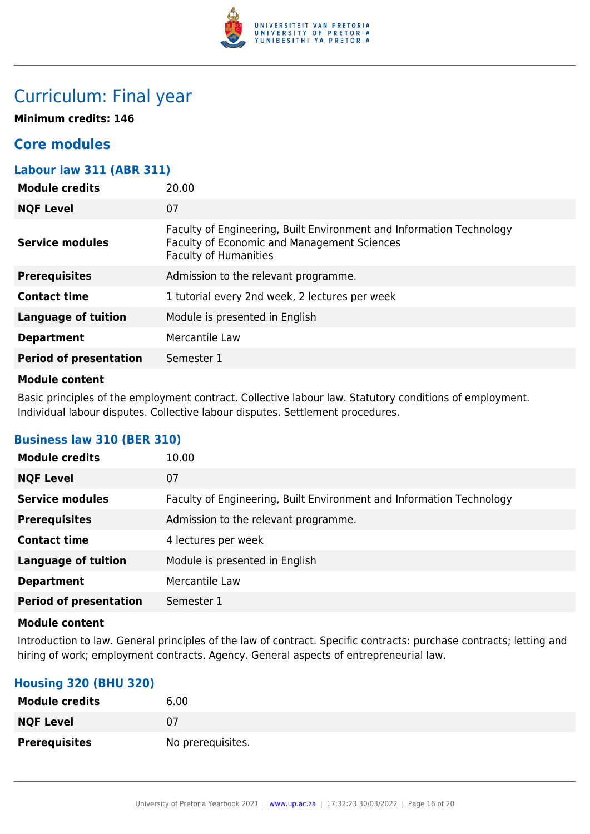

## Curriculum: Final year

**Minimum credits: 146**

## **Core modules**

#### **Labour law 311 (ABR 311)**

| <b>Module credits</b>         | 20.00                                                                                                                                                      |
|-------------------------------|------------------------------------------------------------------------------------------------------------------------------------------------------------|
| <b>NQF Level</b>              | 07                                                                                                                                                         |
| <b>Service modules</b>        | Faculty of Engineering, Built Environment and Information Technology<br><b>Faculty of Economic and Management Sciences</b><br><b>Faculty of Humanities</b> |
| <b>Prerequisites</b>          | Admission to the relevant programme.                                                                                                                       |
| <b>Contact time</b>           | 1 tutorial every 2nd week, 2 lectures per week                                                                                                             |
| <b>Language of tuition</b>    | Module is presented in English                                                                                                                             |
| <b>Department</b>             | Mercantile Law                                                                                                                                             |
| <b>Period of presentation</b> | Semester 1                                                                                                                                                 |
|                               |                                                                                                                                                            |

#### **Module content**

Basic principles of the employment contract. Collective labour law. Statutory conditions of employment. Individual labour disputes. Collective labour disputes. Settlement procedures.

| <b>Module credits</b>         | 10.00                                                                |
|-------------------------------|----------------------------------------------------------------------|
| <b>NQF Level</b>              | 07                                                                   |
| <b>Service modules</b>        | Faculty of Engineering, Built Environment and Information Technology |
| <b>Prerequisites</b>          | Admission to the relevant programme.                                 |
| <b>Contact time</b>           | 4 lectures per week                                                  |
| <b>Language of tuition</b>    | Module is presented in English                                       |
| <b>Department</b>             | Mercantile Law                                                       |
| <b>Period of presentation</b> | Semester 1                                                           |

## **Business law 310 (BER 310)**

#### **Module content**

Introduction to law. General principles of the law of contract. Specific contracts: purchase contracts; letting and hiring of work; employment contracts. Agency. General aspects of entrepreneurial law.

## **Housing 320 (BHU 320)**

| <b>Module credits</b> | 6.00              |
|-----------------------|-------------------|
| <b>NQF Level</b>      | 07                |
| <b>Prerequisites</b>  | No prerequisites. |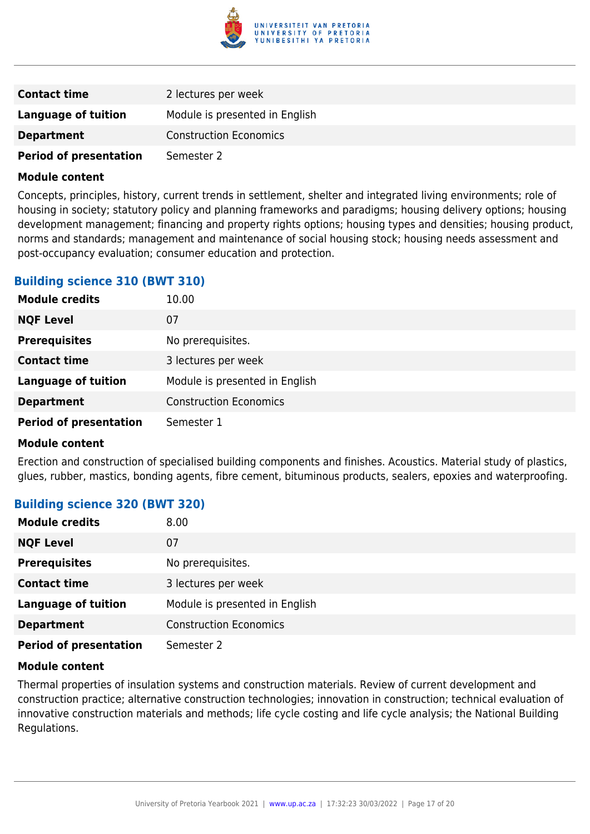

| <b>Contact time</b>           | 2 lectures per week            |
|-------------------------------|--------------------------------|
| <b>Language of tuition</b>    | Module is presented in English |
| <b>Department</b>             | <b>Construction Economics</b>  |
| <b>Period of presentation</b> | Semester 2                     |

Concepts, principles, history, current trends in settlement, shelter and integrated living environments; role of housing in society; statutory policy and planning frameworks and paradigms; housing delivery options; housing development management; financing and property rights options; housing types and densities; housing product, norms and standards; management and maintenance of social housing stock; housing needs assessment and post-occupancy evaluation; consumer education and protection.

#### **Building science 310 (BWT 310)**

| <b>Module credits</b>         | 10.00                          |
|-------------------------------|--------------------------------|
| <b>NQF Level</b>              | 07                             |
| <b>Prerequisites</b>          | No prerequisites.              |
| <b>Contact time</b>           | 3 lectures per week            |
| <b>Language of tuition</b>    | Module is presented in English |
| <b>Department</b>             | <b>Construction Economics</b>  |
| <b>Period of presentation</b> | Semester 1                     |

#### **Module content**

Erection and construction of specialised building components and finishes. Acoustics. Material study of plastics, glues, rubber, mastics, bonding agents, fibre cement, bituminous products, sealers, epoxies and waterproofing.

## **Building science 320 (BWT 320)**

| <b>Module credits</b>         | 8.00                           |
|-------------------------------|--------------------------------|
| <b>NQF Level</b>              | 07                             |
| <b>Prerequisites</b>          | No prerequisites.              |
| <b>Contact time</b>           | 3 lectures per week            |
| <b>Language of tuition</b>    | Module is presented in English |
| <b>Department</b>             | <b>Construction Economics</b>  |
| <b>Period of presentation</b> | Semester 2                     |

#### **Module content**

Thermal properties of insulation systems and construction materials. Review of current development and construction practice; alternative construction technologies; innovation in construction; technical evaluation of innovative construction materials and methods; life cycle costing and life cycle analysis; the National Building Regulations.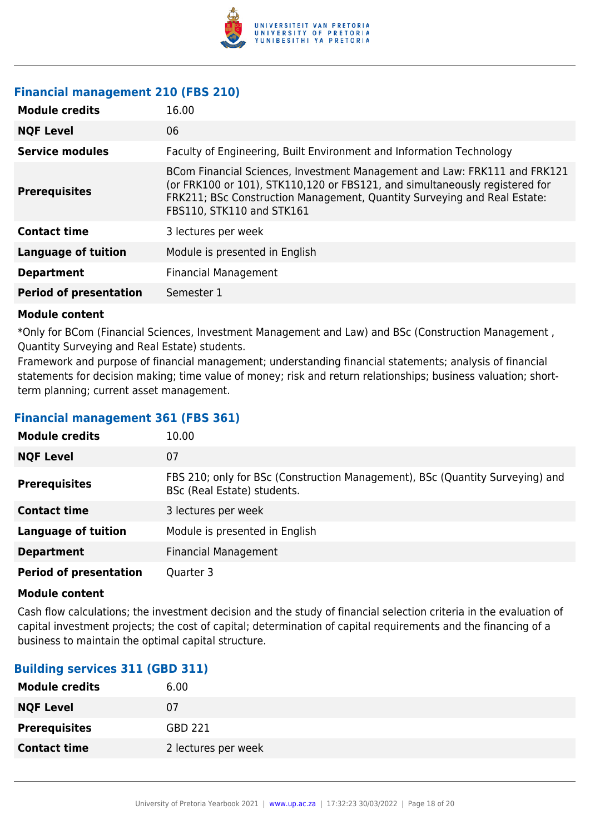

## **Financial management 210 (FBS 210)**

| <b>Module credits</b>         | 16.00                                                                                                                                                                                                                                                             |
|-------------------------------|-------------------------------------------------------------------------------------------------------------------------------------------------------------------------------------------------------------------------------------------------------------------|
| <b>NQF Level</b>              | 06                                                                                                                                                                                                                                                                |
| <b>Service modules</b>        | Faculty of Engineering, Built Environment and Information Technology                                                                                                                                                                                              |
| <b>Prerequisites</b>          | BCom Financial Sciences, Investment Management and Law: FRK111 and FRK121<br>(or FRK100 or 101), STK110,120 or FBS121, and simultaneously registered for<br>FRK211; BSc Construction Management, Quantity Surveying and Real Estate:<br>FBS110, STK110 and STK161 |
| <b>Contact time</b>           | 3 lectures per week                                                                                                                                                                                                                                               |
| <b>Language of tuition</b>    | Module is presented in English                                                                                                                                                                                                                                    |
| <b>Department</b>             | <b>Financial Management</b>                                                                                                                                                                                                                                       |
| <b>Period of presentation</b> | Semester 1                                                                                                                                                                                                                                                        |

#### **Module content**

\*Only for BCom (Financial Sciences, Investment Management and Law) and BSc (Construction Management , Quantity Surveying and Real Estate) students.

Framework and purpose of financial management; understanding financial statements; analysis of financial statements for decision making; time value of money; risk and return relationships; business valuation; shortterm planning; current asset management.

#### **Financial management 361 (FBS 361)**

| <b>Module credits</b>         | 10.00                                                                                                        |
|-------------------------------|--------------------------------------------------------------------------------------------------------------|
| <b>NQF Level</b>              | 07                                                                                                           |
| <b>Prerequisites</b>          | FBS 210; only for BSc (Construction Management), BSc (Quantity Surveying) and<br>BSc (Real Estate) students. |
| <b>Contact time</b>           | 3 lectures per week                                                                                          |
| <b>Language of tuition</b>    | Module is presented in English                                                                               |
| <b>Department</b>             | <b>Financial Management</b>                                                                                  |
| <b>Period of presentation</b> | Quarter 3                                                                                                    |

#### **Module content**

Cash flow calculations; the investment decision and the study of financial selection criteria in the evaluation of capital investment projects; the cost of capital; determination of capital requirements and the financing of a business to maintain the optimal capital structure.

## **Building services 311 (GBD 311)**

| <b>Module credits</b> | 6.00                |
|-----------------------|---------------------|
| <b>NQF Level</b>      | 07                  |
| <b>Prerequisites</b>  | GBD 221             |
| <b>Contact time</b>   | 2 lectures per week |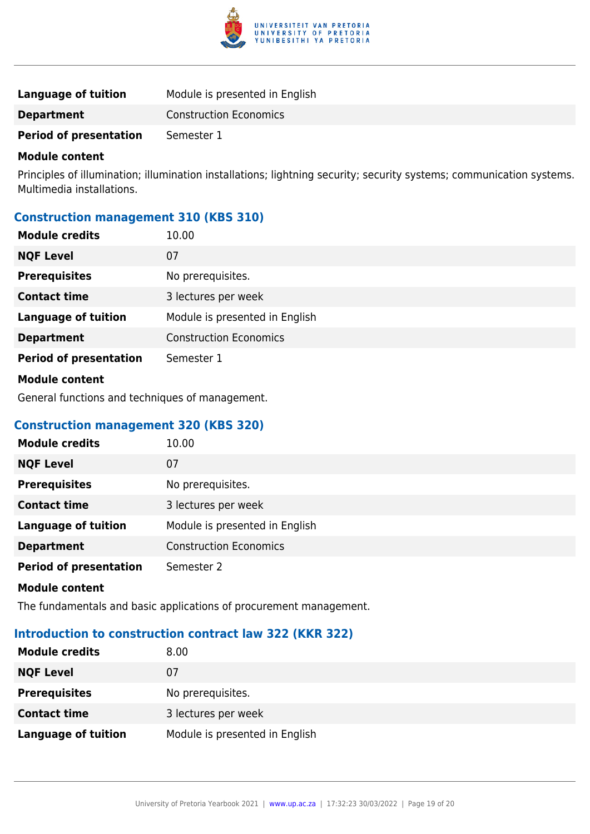

| Language of tuition           | Module is presented in English |
|-------------------------------|--------------------------------|
| <b>Department</b>             | <b>Construction Economics</b>  |
| <b>Period of presentation</b> | Semester 1                     |

Principles of illumination; illumination installations; lightning security; security systems; communication systems. Multimedia installations.

#### **Construction management 310 (KBS 310)**

| <b>Module credits</b>         | 10.00                          |
|-------------------------------|--------------------------------|
| <b>NQF Level</b>              | 07                             |
| <b>Prerequisites</b>          | No prerequisites.              |
| <b>Contact time</b>           | 3 lectures per week            |
| <b>Language of tuition</b>    | Module is presented in English |
| <b>Department</b>             | <b>Construction Economics</b>  |
| <b>Period of presentation</b> | Semester 1                     |
| <b>Module content</b>         |                                |

General functions and techniques of management.

#### **Construction management 320 (KBS 320)**

| <b>Module credits</b>         | 10.00                          |
|-------------------------------|--------------------------------|
| <b>NQF Level</b>              | 07                             |
| <b>Prerequisites</b>          | No prerequisites.              |
| <b>Contact time</b>           | 3 lectures per week            |
| <b>Language of tuition</b>    | Module is presented in English |
| <b>Department</b>             | <b>Construction Economics</b>  |
| <b>Period of presentation</b> | Semester 2                     |

#### **Module content**

The fundamentals and basic applications of procurement management.

## **Introduction to construction contract law 322 (KKR 322)**

| <b>Module credits</b>      | 8.00                           |
|----------------------------|--------------------------------|
| <b>NQF Level</b>           | 07                             |
| <b>Prerequisites</b>       | No prerequisites.              |
| <b>Contact time</b>        | 3 lectures per week            |
| <b>Language of tuition</b> | Module is presented in English |